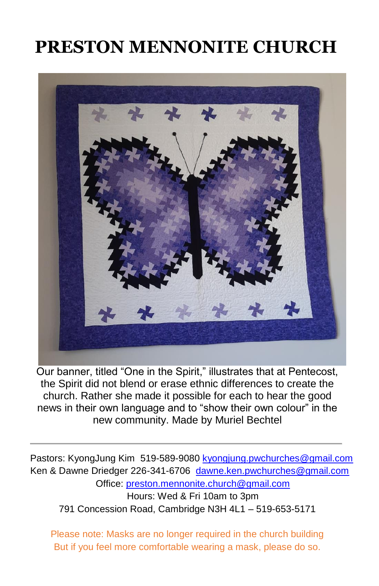# **PRESTON MENNONITE CHURCH**



Our banner, titled "One in the Spirit," illustrates that at Pentecost, the Spirit did not blend or erase ethnic differences to create the church. Rather she made it possible for each to hear the good news in their own language and to "show their own colour" in the new community. Made by Muriel Bechtel

Pastors: KyongJung Kim 519-589-9080 [kyongjung.pwchurches@gmail.com](mailto:kyongjung.pwchurches@gmail.com) Ken & Dawne Driedger 226-341-6706 [dawne.ken.pwchurches@gmail.com](mailto:dawne.ken.pwchurches@gmail.com) Office[: preston.mennonite.church@gmail.com](mailto:preston.mennonite.church@gmail.com)  Hours: Wed & Fri 10am to 3pm 791 Concession Road, Cambridge N3H 4L1 – 519-653-5171

Please note: Masks are no longer required in the church building But if you feel more comfortable wearing a mask, please do so.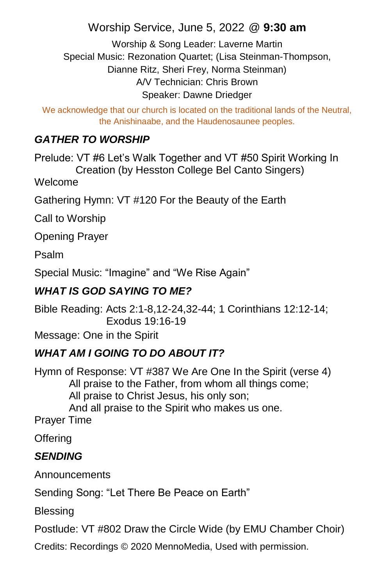## Worship Service, June 5, 2022 @ **9:30 am**

Worship & Song Leader: Laverne Martin Special Music: Rezonation Quartet; (Lisa Steinman-Thompson, Dianne Ritz, Sheri Frey, Norma Steinman) A/V Technician: Chris Brown Speaker: Dawne Driedger

We acknowledge that our church is located on the traditional lands of the Neutral, the Anishinaabe, and the Haudenosaunee peoples.

#### *GATHER TO WORSHIP*

Prelude: VT #6 Let's Walk Together and VT #50 Spirit Working In Creation (by Hesston College Bel Canto Singers)

Welcome

Gathering Hymn: VT #120 For the Beauty of the Earth

Call to Worship

Opening Prayer

Psalm

Special Music: "Imagine" and "We Rise Again"

#### *WHAT IS GOD SAYING TO ME?*

Bible Reading: Acts 2:1-8,12-24,32-44; 1 Corinthians 12:12-14; Exodus 19:16-19

Message: One in the Spirit

### *WHAT AM I GOING TO DO ABOUT IT?*

Hymn of Response: VT #387 We Are One In the Spirit (verse 4) All praise to the Father, from whom all things come; All praise to Christ Jesus, his only son; And all praise to the Spirit who makes us one.

Prayer Time

**Offering** 

#### *SENDING*

Announcements

Sending Song: "Let There Be Peace on Earth"

Blessing

Postlude: VT #802 Draw the Circle Wide (by EMU Chamber Choir)

Credits: Recordings © 2020 MennoMedia, Used with permission.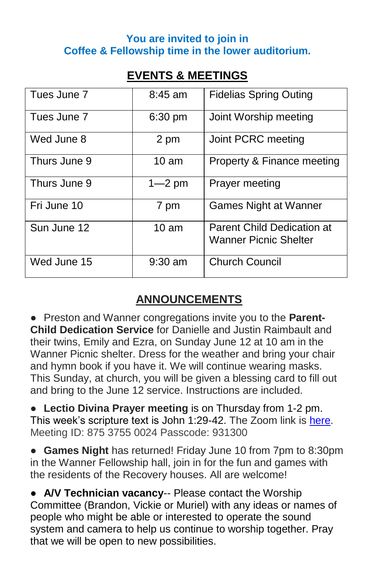#### **You are invited to join in Coffee & Fellowship time in the lower auditorium.**

## **EVENTS & MEETINGS**

| Tues June 7  | $8:45$ am        | <b>Fidelias Spring Outing</b>                                     |
|--------------|------------------|-------------------------------------------------------------------|
| Tues June 7  | 6:30 pm          | Joint Worship meeting                                             |
| Wed June 8   | 2 pm             | Joint PCRC meeting                                                |
| Thurs June 9 | $10 \text{ am}$  | Property & Finance meeting                                        |
| Thurs June 9 | $1 - 2$ pm       | Prayer meeting                                                    |
| Fri June 10  | 7 pm             | Games Night at Wanner                                             |
| Sun June 12  | 10 <sub>am</sub> | <b>Parent Child Dedication at</b><br><b>Wanner Picnic Shelter</b> |
| Wed June 15  | $9:30$ am        | <b>Church Council</b>                                             |

# **ANNOUNCEMENTS**

● Preston and Wanner congregations invite you to the **Parent-Child Dedication Service** for Danielle and Justin Raimbault and their twins, Emily and Ezra, on Sunday June 12 at 10 am in the Wanner Picnic shelter. Dress for the weather and bring your chair and hymn book if you have it. We will continue wearing masks. This Sunday, at church, you will be given a blessing card to fill out and bring to the June 12 service. Instructions are included.

● **Lectio Divina Prayer meeting** is on Thursday from 1-2 pm. This week's scripture text is John 1:29-42. The Zoom link is [here.](https://us02web.zoom.us/j/87537550024?pwd=QUVZaHFtbUg2TVdXTHduZXQxd3d2Zz09) Meeting ID: 875 3755 0024 Passcode: 931300

● **Games Night** has returned! Friday June 10 from 7pm to 8:30pm in the Wanner Fellowship hall, join in for the fun and games with the residents of the Recovery houses. All are welcome!

● **A/V Technician vacancy**-- Please contact the Worship Committee (Brandon, Vickie or Muriel) with any ideas or names of people who might be able or interested to operate the sound system and camera to help us continue to worship together. Pray that we will be open to new possibilities.